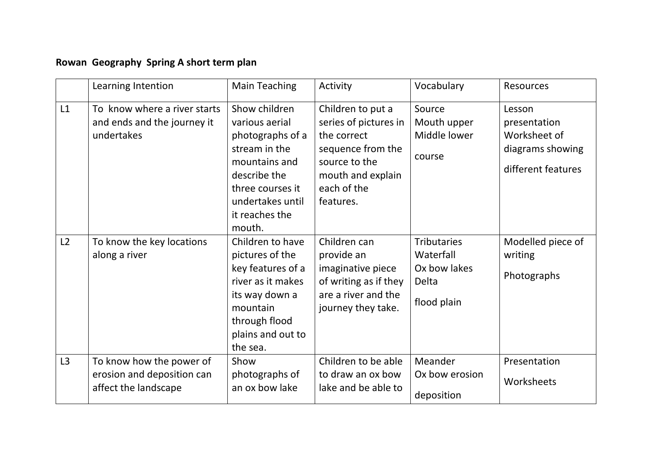## **Rowan Geography Spring A short term plan**

|    | Learning Intention                                                             | <b>Main Teaching</b>                                                                                                                                                      | Activity                                                                                                                                         | Vocabulary                                                              | <b>Resources</b>                                                                 |
|----|--------------------------------------------------------------------------------|---------------------------------------------------------------------------------------------------------------------------------------------------------------------------|--------------------------------------------------------------------------------------------------------------------------------------------------|-------------------------------------------------------------------------|----------------------------------------------------------------------------------|
| L1 | To know where a river starts<br>and ends and the journey it<br>undertakes      | Show children<br>various aerial<br>photographs of a<br>stream in the<br>mountains and<br>describe the<br>three courses it<br>undertakes until<br>it reaches the<br>mouth. | Children to put a<br>series of pictures in<br>the correct<br>sequence from the<br>source to the<br>mouth and explain<br>each of the<br>features. | Source<br>Mouth upper<br>Middle lower<br>course                         | Lesson<br>presentation<br>Worksheet of<br>diagrams showing<br>different features |
| L2 | To know the key locations<br>along a river                                     | Children to have<br>pictures of the<br>key features of a<br>river as it makes<br>its way down a<br>mountain<br>through flood<br>plains and out to<br>the sea.             | Children can<br>provide an<br>imaginative piece<br>of writing as if they<br>are a river and the<br>journey they take.                            | <b>Tributaries</b><br>Waterfall<br>Ox bow lakes<br>Delta<br>flood plain | Modelled piece of<br>writing<br>Photographs                                      |
| L3 | To know how the power of<br>erosion and deposition can<br>affect the landscape | Show<br>photographs of<br>an ox bow lake                                                                                                                                  | Children to be able<br>to draw an ox bow<br>lake and be able to                                                                                  | Meander<br>Ox bow erosion<br>deposition                                 | Presentation<br>Worksheets                                                       |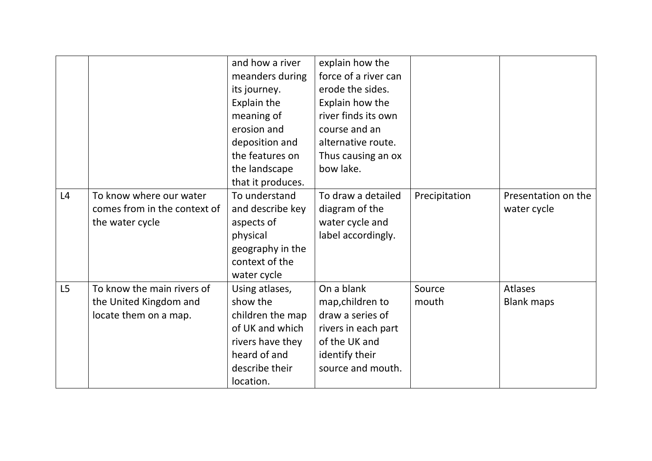|    |                              | and how a river   | explain how the      |               |                     |
|----|------------------------------|-------------------|----------------------|---------------|---------------------|
|    |                              | meanders during   | force of a river can |               |                     |
|    |                              | its journey.      | erode the sides.     |               |                     |
|    |                              | Explain the       | Explain how the      |               |                     |
|    |                              | meaning of        | river finds its own  |               |                     |
|    |                              | erosion and       | course and an        |               |                     |
|    |                              | deposition and    | alternative route.   |               |                     |
|    |                              | the features on   | Thus causing an ox   |               |                     |
|    |                              | the landscape     | bow lake.            |               |                     |
|    |                              | that it produces. |                      |               |                     |
| L4 | To know where our water      | To understand     | To draw a detailed   | Precipitation | Presentation on the |
|    | comes from in the context of | and describe key  | diagram of the       |               | water cycle         |
|    | the water cycle              | aspects of        | water cycle and      |               |                     |
|    |                              | physical          | label accordingly.   |               |                     |
|    |                              | geography in the  |                      |               |                     |
|    |                              | context of the    |                      |               |                     |
|    |                              | water cycle       |                      |               |                     |
| L5 | To know the main rivers of   | Using atlases,    | On a blank           | Source        | <b>Atlases</b>      |
|    | the United Kingdom and       | show the          | map, children to     | mouth         | <b>Blank maps</b>   |
|    | locate them on a map.        | children the map  | draw a series of     |               |                     |
|    |                              | of UK and which   | rivers in each part  |               |                     |
|    |                              | rivers have they  | of the UK and        |               |                     |
|    |                              | heard of and      | identify their       |               |                     |
|    |                              | describe their    | source and mouth.    |               |                     |
|    |                              | location.         |                      |               |                     |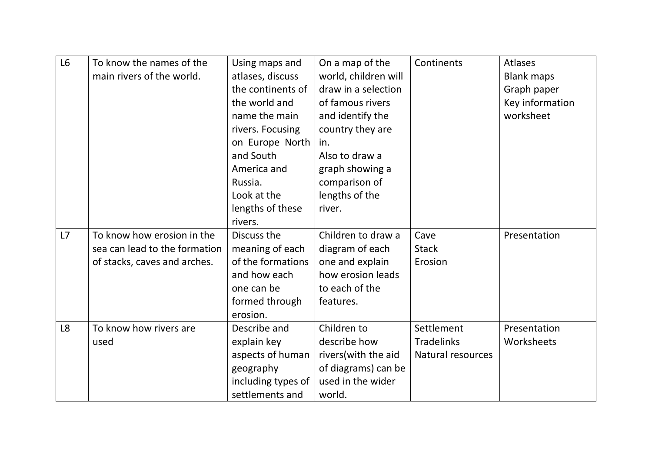| L6             | To know the names of the      | Using maps and     | On a map of the      | Continents        | <b>Atlases</b>    |
|----------------|-------------------------------|--------------------|----------------------|-------------------|-------------------|
|                | main rivers of the world.     | atlases, discuss   | world, children will |                   | <b>Blank maps</b> |
|                |                               | the continents of  | draw in a selection  |                   | Graph paper       |
|                |                               | the world and      | of famous rivers     |                   | Key information   |
|                |                               | name the main      | and identify the     |                   | worksheet         |
|                |                               | rivers. Focusing   | country they are     |                   |                   |
|                |                               | on Europe North    | in.                  |                   |                   |
|                |                               | and South          | Also to draw a       |                   |                   |
|                |                               | America and        | graph showing a      |                   |                   |
|                |                               | Russia.            | comparison of        |                   |                   |
|                |                               | Look at the        | lengths of the       |                   |                   |
|                |                               | lengths of these   | river.               |                   |                   |
|                |                               | rivers.            |                      |                   |                   |
| L7             | To know how erosion in the    | Discuss the        | Children to draw a   | Cave              | Presentation      |
|                | sea can lead to the formation | meaning of each    | diagram of each      | <b>Stack</b>      |                   |
|                | of stacks, caves and arches.  | of the formations  | one and explain      | Erosion           |                   |
|                |                               | and how each       | how erosion leads    |                   |                   |
|                |                               | one can be         | to each of the       |                   |                   |
|                |                               | formed through     | features.            |                   |                   |
|                |                               | erosion.           |                      |                   |                   |
| L <sub>8</sub> | To know how rivers are        | Describe and       | Children to          | Settlement        | Presentation      |
|                | used                          | explain key        | describe how         | <b>Tradelinks</b> | Worksheets        |
|                |                               | aspects of human   | rivers(with the aid  | Natural resources |                   |
|                |                               | geography          | of diagrams) can be  |                   |                   |
|                |                               | including types of | used in the wider    |                   |                   |
|                |                               | settlements and    | world.               |                   |                   |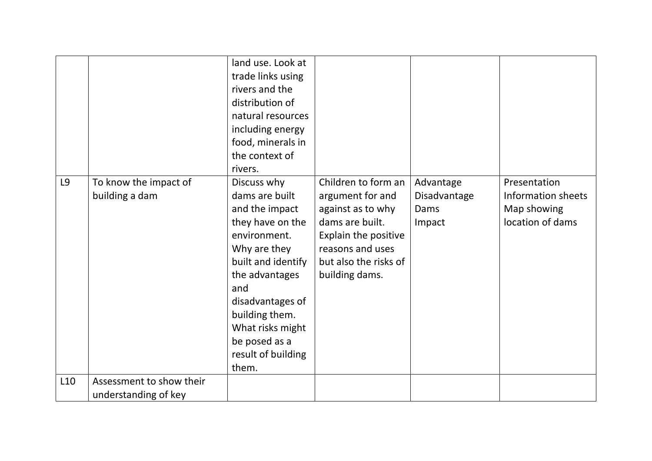|                 |                                                  | land use. Look at<br>trade links using<br>rivers and the<br>distribution of<br>natural resources<br>including energy<br>food, minerals in<br>the context of<br>rivers.                                                                                       |                                                                                                                                                                        |                                             |                                                                              |
|-----------------|--------------------------------------------------|--------------------------------------------------------------------------------------------------------------------------------------------------------------------------------------------------------------------------------------------------------------|------------------------------------------------------------------------------------------------------------------------------------------------------------------------|---------------------------------------------|------------------------------------------------------------------------------|
| L9              | To know the impact of<br>building a dam          | Discuss why<br>dams are built<br>and the impact<br>they have on the<br>environment.<br>Why are they<br>built and identify<br>the advantages<br>and<br>disadvantages of<br>building them.<br>What risks might<br>be posed as a<br>result of building<br>them. | Children to form an<br>argument for and<br>against as to why<br>dams are built.<br>Explain the positive<br>reasons and uses<br>but also the risks of<br>building dams. | Advantage<br>Disadvantage<br>Dams<br>Impact | Presentation<br><b>Information sheets</b><br>Map showing<br>location of dams |
| L <sub>10</sub> | Assessment to show their<br>understanding of key |                                                                                                                                                                                                                                                              |                                                                                                                                                                        |                                             |                                                                              |